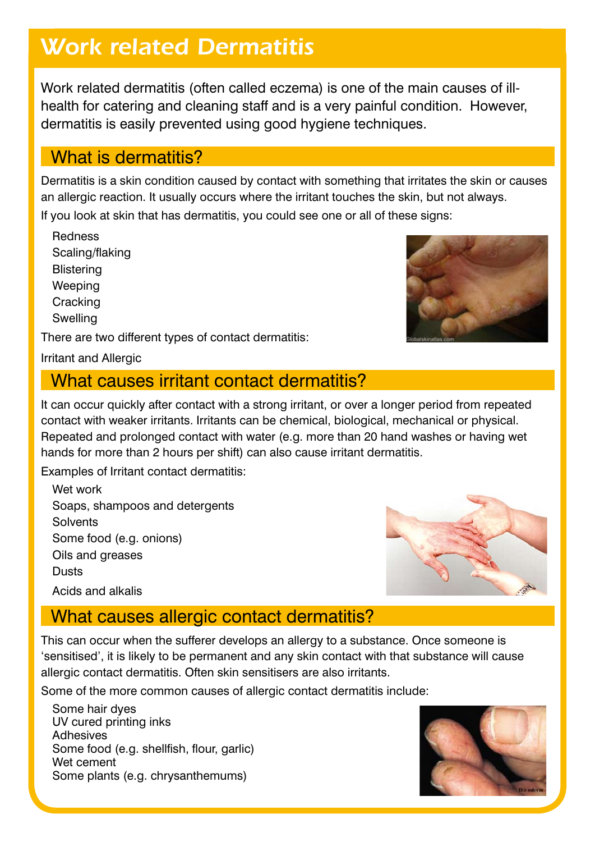## *Work related Dermatitis*

Work related dermatitis (often called eczema) is one of the main causes of illhealth for catering and cleaning staff and is a very painful condition. However, dermatitis is easily prevented using good hygiene techniques.

## What is dermatitis?

Dermatitis is a skin condition caused by contact with something that irritates the skin or causes an allergic reaction. It usually occurs where the irritant touches the skin, but not always.

If you look at skin that has dermatitis, you could see one or all of these signs:

Redness Scaling/flaking **Blistering Weeping Cracking** Swelling

There are two different types of contact dermatitis:

Irritant and Allergic

## What causes irritant contact dermatitis?

It can occur quickly after contact with a strong irritant, or over a longer period from repeated contact with weaker irritants. Irritants can be chemical, biological, mechanical or physical. Repeated and prolonged contact with water (e.g. more than 20 hand washes or having wet hands for more than 2 hours per shift) can also cause irritant dermatitis.

Examples of Irritant contact dermatitis:

Wet work Soaps, shampoos and detergents **Solvents** Some food (e.g. onions) Oils and greases **Dusts** Acids and alkalis



## What causes allergic contact dermatitis?

This can occur when the sufferer develops an allergy to a substance. Once someone is 'sensitised', it is likely to be permanent and any skin contact with that substance will cause allergic contact dermatitis. Often skin sensitisers are also irritants.

Some of the more common causes of allergic contact dermatitis include:

Some hair dyes UV cured printing inks Adhesives Some food (e.g. shellfish, flour, garlic) Wet cement Some plants (e.g. chrysanthemums)



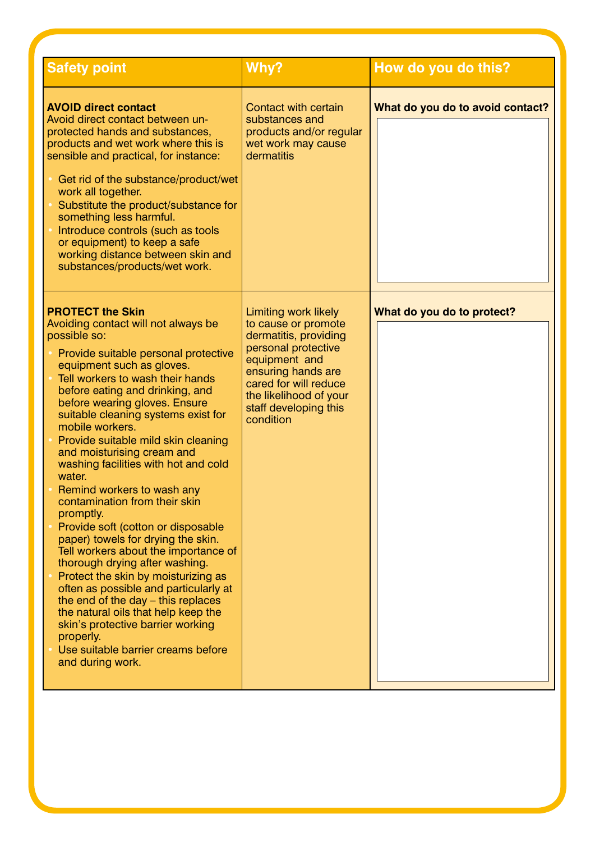| <b>Safety point</b>                                                                                                                                                                                                                                                                                                                                                                                                                                                                                                                                                                                                                                                                                                                                                                                                                                                                                                                                       | Why?                                                                                                                                                                                                                               | How do you do this?              |
|-----------------------------------------------------------------------------------------------------------------------------------------------------------------------------------------------------------------------------------------------------------------------------------------------------------------------------------------------------------------------------------------------------------------------------------------------------------------------------------------------------------------------------------------------------------------------------------------------------------------------------------------------------------------------------------------------------------------------------------------------------------------------------------------------------------------------------------------------------------------------------------------------------------------------------------------------------------|------------------------------------------------------------------------------------------------------------------------------------------------------------------------------------------------------------------------------------|----------------------------------|
| <b>AVOID direct contact</b><br>Avoid direct contact between un-<br>protected hands and substances,<br>products and wet work where this is<br>sensible and practical, for instance:<br>• Get rid of the substance/product/wet<br>work all together.<br>Substitute the product/substance for<br>something less harmful.<br>Introduce controls (such as tools<br>or equipment) to keep a safe<br>working distance between skin and<br>substances/products/wet work.                                                                                                                                                                                                                                                                                                                                                                                                                                                                                          | Contact with certain<br>substances and<br>products and/or regular<br>wet work may cause<br>dermatitis                                                                                                                              | What do you do to avoid contact? |
| <b>PROTECT the Skin</b><br>Avoiding contact will not always be<br>possible so:<br>Provide suitable personal protective<br>equipment such as gloves.<br>Tell workers to wash their hands<br>before eating and drinking, and<br>before wearing gloves. Ensure<br>suitable cleaning systems exist for<br>mobile workers.<br>Provide suitable mild skin cleaning<br>and moisturising cream and<br>washing facilities with hot and cold<br>water.<br>Remind workers to wash any<br>contamination from their skin<br>promptly.<br>Provide soft (cotton or disposable<br>paper) towels for drying the skin.<br>Tell workers about the importance of<br>thorough drying after washing.<br>Protect the skin by moisturizing as<br>often as possible and particularly at<br>the end of the day $-$ this replaces<br>the natural oils that help keep the<br>skin's protective barrier working<br>properly.<br>Use suitable barrier creams before<br>and during work. | <b>Limiting work likely</b><br>to cause or promote<br>dermatitis, providing<br>personal protective<br>equipment and<br>ensuring hands are<br>cared for will reduce<br>the likelihood of your<br>staff developing this<br>condition | What do you do to protect?       |